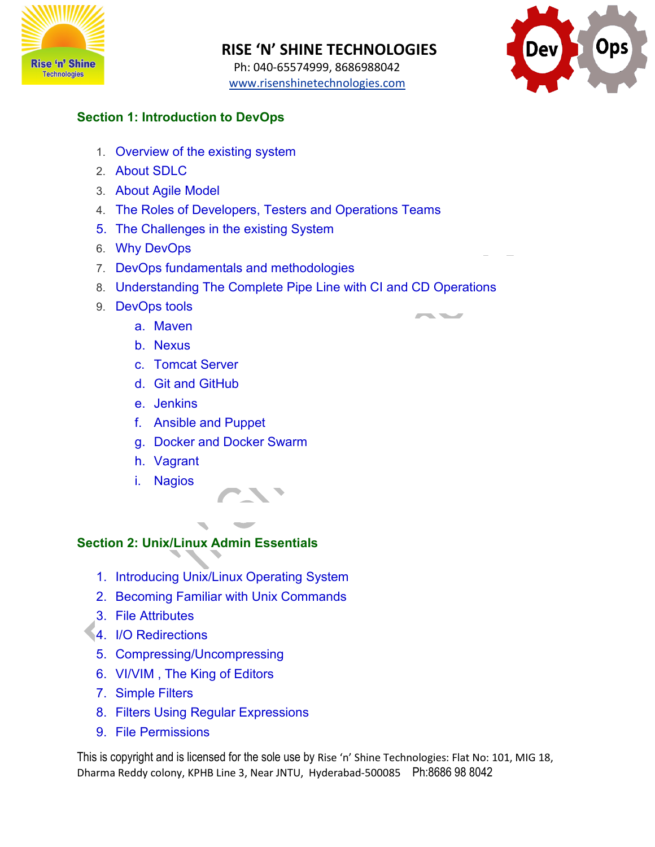

 Ph: 040-65574999, 8686988042 [www.risenshinetechnologies.com](http://www.risenshinetechnologies.com/)



### **Section 1: Introduction to DevOps**

- 1. Overview of the existing system
- 2. About SDLC
- 3. About Agile Model
- 4. The Roles of Developers, Testers and Operations Teams
- 5. The Challenges in the existing System
- 6. Why DevOps
- 7. DevOps fundamentals and methodologies
- 8. Understanding The Complete Pipe Line with CI and CD Operations

**START START** 

- 9. DevOps tools
	- a. Maven
	- b. Nexus
	- c. Tomcat Server
	- d. Git and GitHub
	- e. Jenkins
	- f. Ansible and Puppet
	- g. Docker and Docker Swarm
	- h. Vagrant
	- i. Nagios

### **Section 2: Unix/Linux Admin Essentials**

- 1. Introducing Unix/Linux Operating System
- 2. Becoming Familiar with Unix Commands
- 3. File Attributes
- 4. I/O Redirections
- 5. Compressing/Uncompressing
- 6. VI/VIM , The King of Editors
- 7. Simple Filters
- 8. Filters Using Regular Expressions
- 9. File Permissions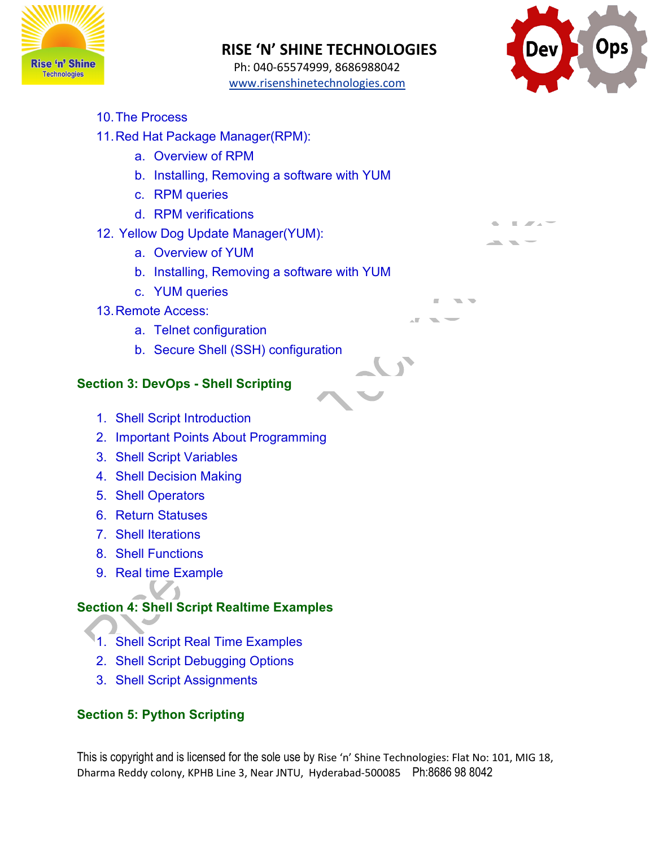

 Ph: 040-65574999, 8686988042 [www.risenshinetechnologies.com](http://www.risenshinetechnologies.com/)



- 10.The Process
- 11.Red Hat Package Manager(RPM):
	- a. Overview of RPM
	- b. Installing, Removing a software with YUM
	- c. RPM queries
	- d. RPM verifications
- 12. Yellow Dog Update Manager(YUM):
	- a. Overview of YUM
	- b. Installing, Removing a software with YUM
	- c. YUM queries
- 13.Remote Access:
	- a. Telnet configuration
	- b. Secure Shell (SSH) configuration

#### **Section 3: DevOps - Shell Scripting**

- 1. Shell Script Introduction
- 2. Important Points About Programming
- 3. Shell Script Variables
- 4. Shell Decision Making
- 5. Shell Operators
- 6. Return Statuses
- 7. Shell Iterations
- 8. Shell Functions
- 9. Real time Example

## **Section 4: Shell Script Realtime Examples**

- 1. Shell Script Real Time Examples
- 2. Shell Script Debugging Options
- 3. Shell Script Assignments

## **Section 5: Python Scripting**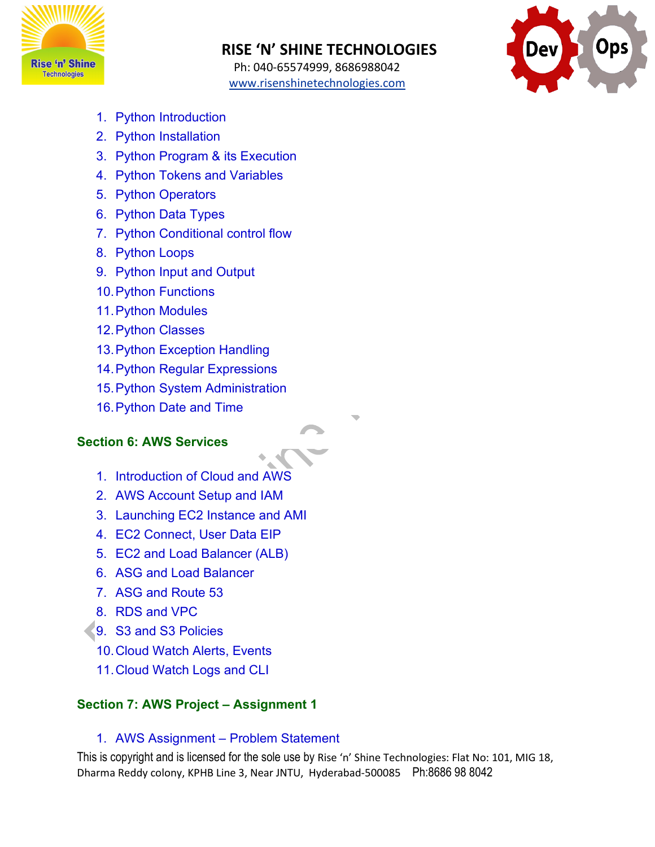

 Ph: 040-65574999, 8686988042 [www.risenshinetechnologies.com](http://www.risenshinetechnologies.com/)



- 1. Python Introduction
- 2. Python Installation
- 3. Python Program & its Execution
- 4. Python Tokens and Variables
- 5. Python Operators
- 6. Python Data Types
- 7. Python Conditional control flow
- 8. Python Loops
- 9. Python Input and Output
- 10.Python Functions
- 11.Python Modules
- 12.Python Classes
- 13.Python Exception Handling
- 14.Python Regular Expressions
- 15.Python System Administration
- 16.Python Date and Time

#### **Section 6: AWS Services**

- 1. Introduction of Cloud and AWS
- 2. AWS Account Setup and IAM
- 3. Launching EC2 Instance and AMI
- 4. EC2 Connect, User Data EIP
- 5. EC2 and Load Balancer (ALB)
- 6. ASG and Load Balancer
- 7. ASG and Route 53
- 8. RDS and VPC
- 9. S3 and S3 Policies
	- 10.Cloud Watch Alerts, Events
	- 11.Cloud Watch Logs and CLI

### **Section 7: AWS Project – Assignment 1**

#### 1. AWS Assignment – Problem Statement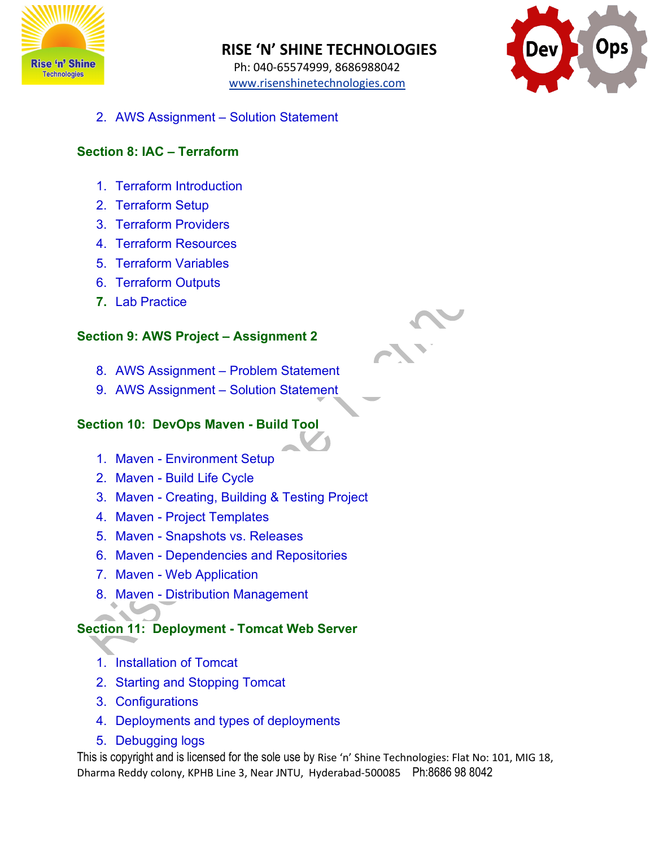

 Ph: 040-65574999, 8686988042 [www.risenshinetechnologies.com](http://www.risenshinetechnologies.com/)



2. AWS Assignment – Solution Statement

#### **Section 8: IAC – Terraform**

- 1. Terraform Introduction
- 2. Terraform Setup
- 3. Terraform Providers
- 4. Terraform Resources
- 5. Terraform Variables
- 6. Terraform Outputs
- **7.** Lab Practice

#### **Section 9: AWS Project – Assignment 2**

- 8. AWS Assignment Problem Statement
- 9. AWS Assignment Solution Statement

#### **Section 10: DevOps Maven - Build Tool**

- 1. Maven Environment Setup
- 2. Maven Build Life Cycle
- 3. Maven Creating, Building & Testing Project
- 4. Maven Project Templates
- 5. Maven Snapshots vs. Releases
- 6. Maven Dependencies and Repositories
- 7. Maven Web Application
- 8. Maven Distribution Management

## **Section 11: Deployment - Tomcat Web Server**

- 1. Installation of Tomcat
- 2. Starting and Stopping Tomcat
- 3. Configurations
- 4. Deployments and types of deployments
- 5. Debugging logs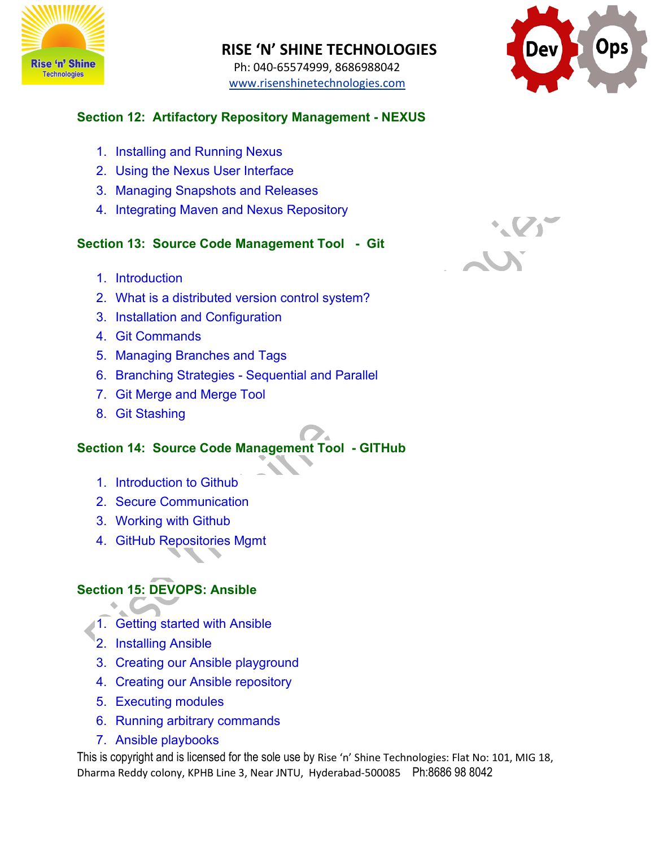

 Ph: 040-65574999, 8686988042 [www.risenshinetechnologies.com](http://www.risenshinetechnologies.com/)



#### **Section 12: Artifactory Repository Management - NEXUS**

- 1. Installing and Running Nexus
- 2. Using the Nexus User Interface
- 3. Managing Snapshots and Releases
- 4. Integrating Maven and Nexus Repository

### **Section 13: Source Code Management Tool - Git**

- 1. Introduction
- 2. What is a distributed version control system?
- 3. Installation and Configuration
- 4. Git Commands
- 5. Managing Branches and Tags
- 6. Branching Strategies Sequential and Parallel
- 7. Git Merge and Merge Tool
- 8. Git Stashing

## **Section 14: Source Code Management Tool - GITHub**

- 1. Introduction to Github
- 2. Secure Communication
- 3. Working with Github
- 4. GitHub Repositories Mgmt

## **Section 15: DEVOPS: Ansible**

- 11. Getting started with Ansible
- 2. Installing Ansible
- 3. Creating our Ansible playground
- 4. Creating our Ansible repository
- 5. Executing modules
- 6. Running arbitrary commands
- 7. Ansible playbooks

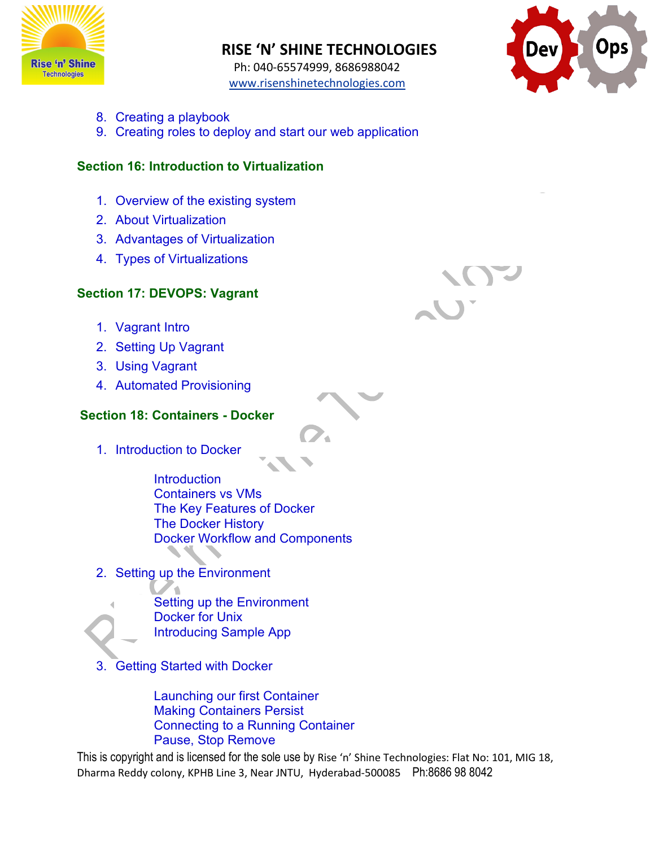

 Ph: 040-65574999, 8686988042 [www.risenshinetechnologies.com](http://www.risenshinetechnologies.com/)



- 8. Creating a playbook
- 9. Creating roles to deploy and start our web application

#### **Section 16: Introduction to Virtualization**

- 1. Overview of the existing system
- 2. About Virtualization
- 3. Advantages of Virtualization
- 4. Types of Virtualizations

#### **Section 17: DEVOPS: Vagrant**

- 1. Vagrant Intro
- 2. Setting Up Vagrant
- 3. Using Vagrant
- 4. Automated Provisioning

#### **Section 18: Containers - Docker**

1. Introduction to Docker

**Introduction** Containers vs VMs The Key Features of Docker The Docker History Docker Workflow and Components

2. Setting up the Environment



Setting up the Environment Docker for Unix Introducing Sample App

3. Getting Started with Docker

Launching our first Container Making Containers Persist Connecting to a Running Container Pause, Stop Remove

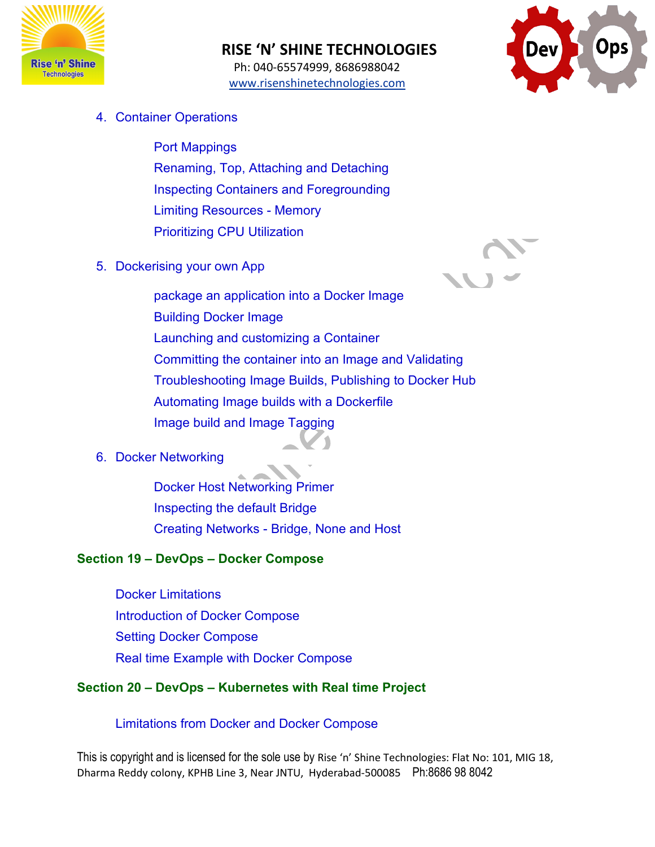

 Ph: 040-65574999, 8686988042 [www.risenshinetechnologies.com](http://www.risenshinetechnologies.com/)



4. Container Operations

Port Mappings Renaming, Top, Attaching and Detaching Inspecting Containers and Foregrounding Limiting Resources - Memory Prioritizing CPU Utilization

5. Dockerising your own App



package an application into a Docker Image Building Docker Image Launching and customizing a Container Committing the container into an Image and Validating Troubleshooting Image Builds, Publishing to Docker Hub Automating Image builds with a Dockerfile Image build and Image Tagging

## 6. Docker Networking

Docker Host Networking Primer Inspecting the default Bridge Creating Networks - Bridge, None and Host

## **Section 19 – DevOps – Docker Compose**

Docker Limitations Introduction of Docker Compose Setting Docker Compose Real time Example with Docker Compose

## **Section 20 – DevOps – Kubernetes with Real time Project**

## Limitations from Docker and Docker Compose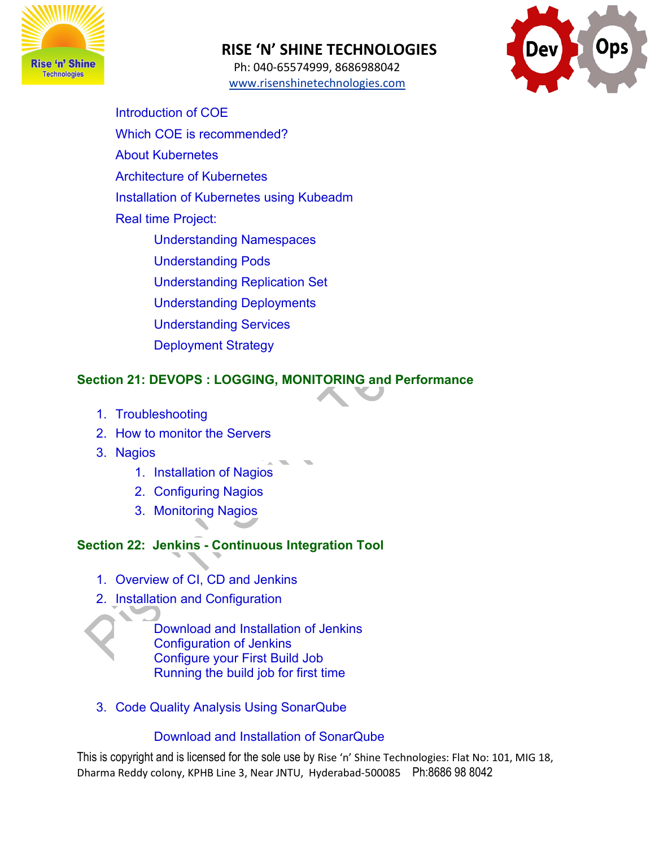

 Ph: 040-65574999, 8686988042 [www.risenshinetechnologies.com](http://www.risenshinetechnologies.com/)



Introduction of COE Which COE is recommended? About Kubernetes Architecture of Kubernetes Installation of Kubernetes using Kubeadm Real time Project: Understanding Namespaces Understanding Pods Understanding Replication Set Understanding Deployments Understanding Services Deployment Strategy

### **Section 21: DEVOPS : LOGGING, MONITORING and Performance**

- 1. Troubleshooting
- 2. How to monitor the Servers
- 3. Nagios
	- 1. Installation of Nagios
	- 2. Configuring Nagios
	- 3. Monitoring Nagios

# **Section 22: Jenkins - Continuous Integration Tool**

- 1. Overview of CI, CD and Jenkins
- 2. Installation and Configuration

Download and Installation of Jenkins Configuration of Jenkins Configure your First Build Job Running the build job for first time

3. Code Quality Analysis Using SonarQube

# Download and Installation of SonarQube